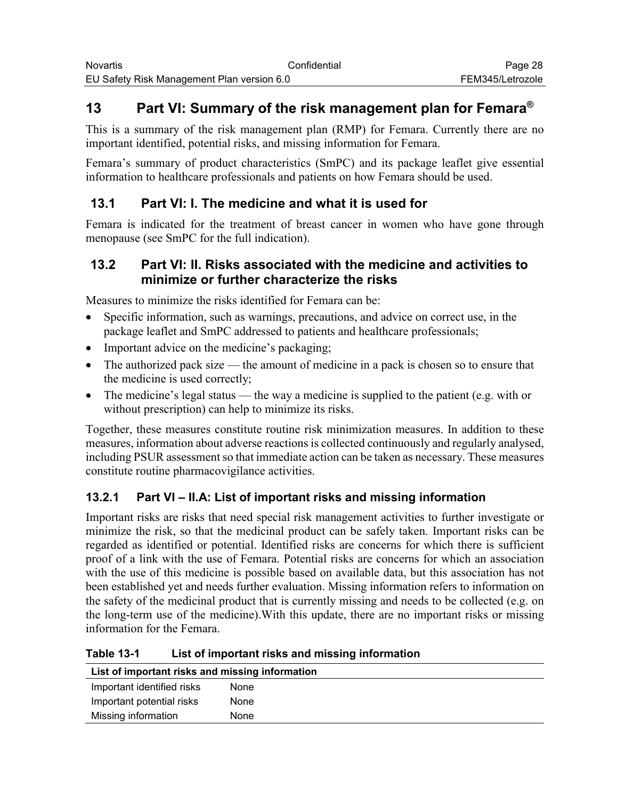# **13 Part VI: Summary of the risk management plan for Femara®**

This is a summary of the risk management plan (RMP) for Femara. Currently there are no important identified, potential risks, and missing information for Femara.

Femara's summary of product characteristics (SmPC) and its package leaflet give essential information to healthcare professionals and patients on how Femara should be used.

## **13.1 Part VI: I. The medicine and what it is used for**

Femara is indicated for the treatment of breast cancer in women who have gone through menopause (see SmPC for the full indication).

### **13.2 Part VI: II. Risks associated with the medicine and activities to minimize or further characterize the risks**

Measures to minimize the risks identified for Femara can be:

- Specific information, such as warnings, precautions, and advice on correct use, in the package leaflet and SmPC addressed to patients and healthcare professionals;
- Important advice on the medicine's packaging;
- The authorized pack size the amount of medicine in a pack is chosen so to ensure that the medicine is used correctly;
- The medicine's legal status the way a medicine is supplied to the patient (e.g. with or without prescription) can help to minimize its risks.

Together, these measures constitute routine risk minimization measures. In addition to these measures, information about adverse reactions is collected continuously and regularly analysed, including PSUR assessment so that immediate action can be taken as necessary. These measures constitute routine pharmacovigilance activities.

### **13.2.1 Part VI – II.A: List of important risks and missing information**

Important risks are risks that need special risk management activities to further investigate or minimize the risk, so that the medicinal product can be safely taken. Important risks can be regarded as identified or potential. Identified risks are concerns for which there is sufficient proof of a link with the use of Femara. Potential risks are concerns for which an association with the use of this medicine is possible based on available data, but this association has not been established yet and needs further evaluation. Missing information refers to information on the safety of the medicinal product that is currently missing and needs to be collected (e.g. on the long-term use of the medicine).With this update, there are no important risks or missing information for the Femara.

**Table 13-1 List of important risks and missing information**

| List of important risks and missing information |      |
|-------------------------------------------------|------|
| Important identified risks                      | None |
| Important potential risks                       | None |
| Missing information                             | None |